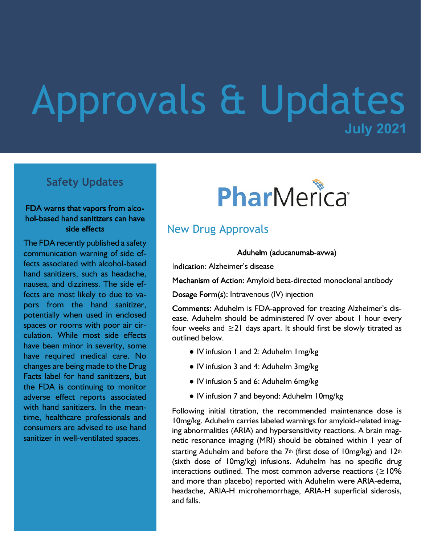## **July 2021** Approvals & Updates

## **Safety Updates**

#### FDA warns that vapors from alcohol-based hand sanitizers can have side effects

The FDA recently published a safety communication warning of side effects associated with alcohol-based hand sanitizers, such as headache, nausea, and dizziness. The side effects are most likely to due to vapors from the hand sanitizer, potentially when used in enclosed spaces or rooms with poor air circulation. While most side effects have been minor in severity, some have required medical care. No changes are being made to the Drug Facts label for hand sanitizers, but the FDA is continuing to monitor adverse effect reports associated with hand sanitizers. In the meantime, healthcare professionals and consumers are advised to use hand sanitizer in well-ventilated spaces.

# PharMerica®

## New Drug Approvals

Aduhelm (aducanumab-avwa)

Indication: Alzheimer's disease

Mechanism of Action: Amyloid beta-directed monoclonal antibody

Dosage Form(s): Intravenous (IV) injection

Comments: Aduhelm is FDA-approved for treating Alzheimer's disease. Aduhelm should be administered IV over about 1 hour every four weeks and ≥21 days apart. It should first be slowly titrated as outlined below.

- IV infusion 1 and 2: Aduhelm 1mg/kg
- IV infusion 3 and 4: Aduhelm 3mg/kg
- IV infusion 5 and 6: Aduhelm 6mg/kg
- IV infusion 7 and beyond: Aduhelm 10mg/kg

Following initial titration, the recommended maintenance dose is 10mg/kg. Aduhelm carries labeled warnings for amyloid-related imaging abnormalities (ARIA) and hypersensitivity reactions. A brain magnetic resonance imaging (MRI) should be obtained within 1 year of starting Aduhelm and before the  $7<sup>th</sup>$  (first dose of 10mg/kg) and 12<sup>th</sup> (sixth dose of 10mg/kg) infusions. Aduhelm has no specific drug interactions outlined. The most common adverse reactions ( $\geq$ 10% and more than placebo) reported with Aduhelm were ARIA-edema, headache, ARIA-H microhemorrhage, ARIA-H superficial siderosis, and falls.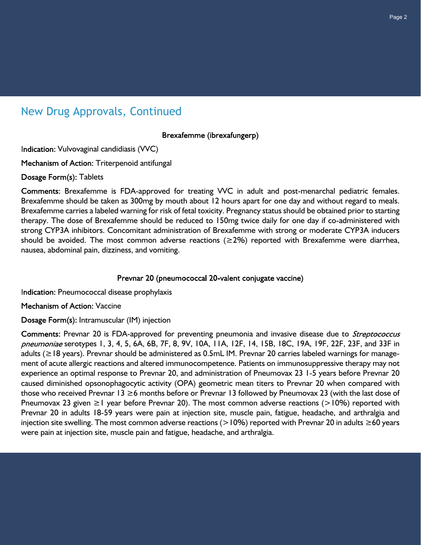## New Drug Approvals, Continued

Brexafemme (ibrexafungerp)

Indication: Vulvovaginal candidiasis (VVC)

Mechanism of Action: Triterpenoid antifungal

Dosage Form(s): Tablets

Comments: Brexafemme is FDA-approved for treating VVC in adult and post-menarchal pediatric females. Brexafemme should be taken as 300mg by mouth about 12 hours apart for one day and without regard to meals. Brexafemme carries a labeled warning for risk of fetal toxicity. Pregnancy status should be obtained prior to starting therapy. The dose of Brexafemme should be reduced to 150mg twice daily for one day if co-administered with strong CYP3A inhibitors. Concomitant administration of Brexafemme with strong or moderate CYP3A inducers should be avoided. The most common adverse reactions ( $\geq$ 2%) reported with Brexafemme were diarrhea, nausea, abdominal pain, dizziness, and vomiting.

#### Prevnar 20 (pneumococcal 20-valent conjugate vaccine)

Indication: Pneumococcal disease prophylaxis

Mechanism of Action: Vaccine

Dosage Form(s): Intramuscular (IM) injection

Comments: Prevnar 20 is FDA-approved for preventing pneumonia and invasive disease due to *Streptococcus* pneumoniae serotypes 1, 3, 4, 5, 6A, 6B, 7F, 8, 9V, 10A, 11A, 12F, 14, 15B, 18C, 19A, 19F, 22F, 23F, and 33F in adults (≥18 years). Prevnar should be administered as 0.5mL IM. Prevnar 20 carries labeled warnings for management of acute allergic reactions and altered immunocompetence. Patients on immunosuppressive therapy may not experience an optimal response to Prevnar 20, and administration of Pneumovax 23 1-5 years before Prevnar 20 caused diminished opsonophagocytic activity (OPA) geometric mean titers to Prevnar 20 when compared with those who received Prevnar 13 ≥6 months before or Prevnar 13 followed by Pneumovax 23 (with the last dose of Pneumovax 23 given  $\geq 1$  year before Prevnar 20). The most common adverse reactions (>10%) reported with Prevnar 20 in adults 18-59 years were pain at injection site, muscle pain, fatigue, headache, and arthralgia and injection site swelling. The most common adverse reactions (>10%) reported with Prevnar 20 in adults ≥60 years were pain at injection site, muscle pain and fatigue, headache, and arthralgia.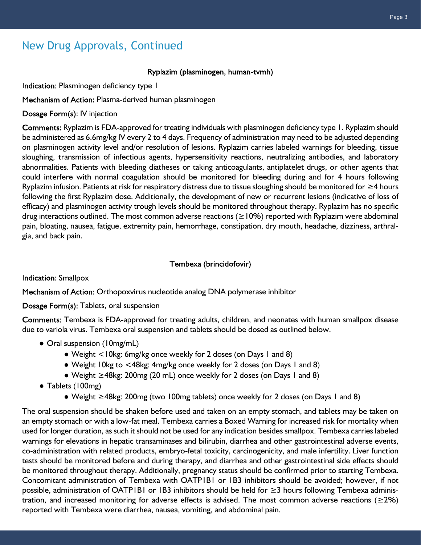## New Drug Approvals, Continued

#### Ryplazim (plasminogen, human-tvmh)

Indication: Plasminogen deficiency type 1

Mechanism of Action: Plasma-derived human plasminogen

Dosage Form(s): IV injection

Comments: Ryplazim is FDA-approved for treating individuals with plasminogen deficiency type 1. Ryplazim should be administered as 6.6mg/kg IV every 2 to 4 days. Frequency of administration may need to be adjusted depending on plasminogen activity level and/or resolution of lesions. Ryplazim carries labeled warnings for bleeding, tissue sloughing, transmission of infectious agents, hypersensitivity reactions, neutralizing antibodies, and laboratory abnormalities. Patients with bleeding diatheses or taking anticoagulants, antiplatelet drugs, or other agents that could interfere with normal coagulation should be monitored for bleeding during and for 4 hours following Ryplazim infusion. Patients at risk for respiratory distress due to tissue sloughing should be monitored for ≥4 hours following the first Ryplazim dose. Additionally, the development of new or recurrent lesions (indicative of loss of efficacy) and plasminogen activity trough levels should be monitored throughout therapy. Ryplazim has no specific drug interactions outlined. The most common adverse reactions (≥10%) reported with Ryplazim were abdominal pain, bloating, nausea, fatigue, extremity pain, hemorrhage, constipation, dry mouth, headache, dizziness, arthralgia, and back pain.

#### Tembexa (brincidofovir)

**Indication: Smallpox** 

Mechanism of Action: Orthopoxvirus nucleotide analog DNA polymerase inhibitor

#### Dosage Form(s): Tablets, oral suspension

Comments: Tembexa is FDA-approved for treating adults, children, and neonates with human smallpox disease due to variola virus. Tembexa oral suspension and tablets should be dosed as outlined below.

- Oral suspension (10mg/mL)
	- Weight <10kg: 6mg/kg once weekly for 2 doses (on Days 1 and 8)
	- Weight 10kg to <48kg: 4mg/kg once weekly for 2 doses (on Days 1 and 8)
	- Weight ≥48kg: 200mg (20 mL) once weekly for 2 doses (on Days 1 and 8)
- Tablets (100mg)
	- Weight ≥48kg: 200mg (two 100mg tablets) once weekly for 2 doses (on Days 1 and 8)

The oral suspension should be shaken before used and taken on an empty stomach, and tablets may be taken on an empty stomach or with a low-fat meal. Tembexa carries a Boxed Warning for increased risk for mortality when used for longer duration, as such it should not be used for any indication besides smallpox. Tembexa carries labeled warnings for elevations in hepatic transaminases and bilirubin, diarrhea and other gastrointestinal adverse events, co-administration with related products, embryo-fetal toxicity, carcinogenicity, and male infertility. Liver function tests should be monitored before and during therapy, and diarrhea and other gastrointestinal side effects should be monitored throughout therapy. Additionally, pregnancy status should be confirmed prior to starting Tembexa. Concomitant administration of Tembexa with OATP1B1 or 1B3 inhibitors should be avoided; however, if not possible, administration of OATP1B1 or 1B3 inhibitors should be held for ≥3 hours following Tembexa administration, and increased monitoring for adverse effects is advised. The most common adverse reactions ( $\geq 2\%$ ) reported with Tembexa were diarrhea, nausea, vomiting, and abdominal pain.